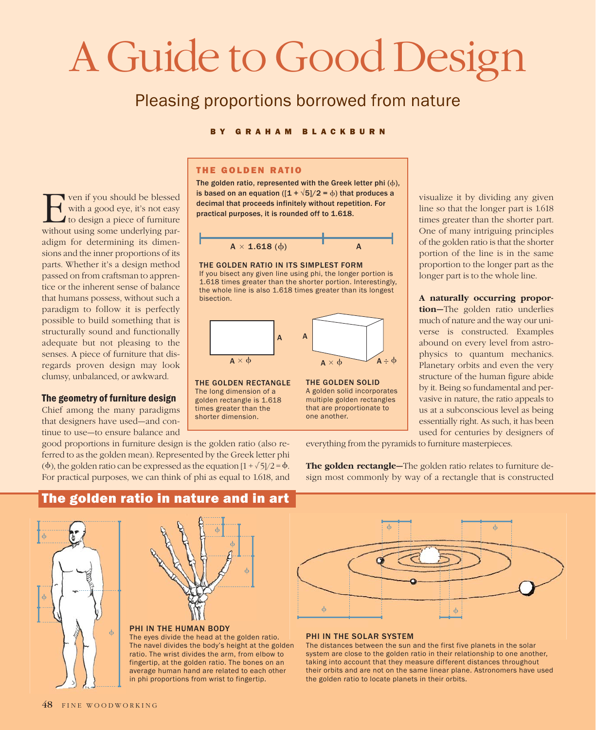# A Guide to Good Design

## Pleasing proportions borrowed from nature

#### B Y GRAHAM BLACKBURN

ven if you should be blessed with a good eye, it's not easy to design a piece of furniture without using some underlying paradigm for determining its dimensions and the inner proportions of its parts. Whether it's a design method passed on from craftsman to apprentice or the inherent sense of balance that humans possess, without such a paradigm to follow it is perfectly possible to build something that is structurally sound and functionally adequate but not pleasing to the senses. A piece of furniture that disregards proven design may look clumsy, unbalanced, or awkward. ven if you should be blessed<br>with a good eye, it's not easy<br>to design a piece of furniture<br>without using some underlying par-

#### The geometry of furniture design

Chief among the many paradigms that designers have used—and continue to use—to ensure balance and

#### THE GOLDEN RATIO

The golden ratio, represented with the Greek letter phi  $(\phi)$ , is based on an equation ( $[1 + \sqrt{5}]/2 = \phi$ ) that produces a



#### THE GOLDEN RATIO IN ITS SIMPLEST FORM





THE GOLDEN SOLID A golden solid incorporates multiple golden rectangles that are proportionate to

one another.

THE GOLDEN RECTANGLE The long dimension of a golden rectangle is 1.618 times greater than the shorter dimension.

times greater than the shorter part. One of many intriguing principles of the golden ratio is that the shorter portion of the line is in the same proportion to the longer part as the longer part is to the whole line.

visualize it by dividing any given line so that the longer part is 1.618

A naturally occurring proportion—The golden ratio underlies much of nature and the way our universe is constructed. Examples abound on every level from astrophysics to quantum mechanics. Planetary orbits and even the very structure of the human figure abide by it. Being so fundamental and pervasive in nature, the ratio appeals to us at a subconscious level as being essentially right. As such, it has been used for centuries by designers of

everything from the pyramids to furniture masterpieces.

The golden rectangle-The golden ratio relates to furniture design most commonly by way of a rectangle that is constructed

good proportions in furniture design is the golden ratio (also referred to as the golden mean). Represented by the Greek letter phi ( $\phi$ ), the golden ratio can be expressed as the equation  $[1 + \sqrt{5}]/2 = \phi$ . For practical purposes, we can think of phi as equal to 1.618, and

The golden ratio in nature and in art



# $\dot{\phi}$  $\dot{\phi}$  $\phi$

#### PHI IN THE HUMAN BODY

The eyes divide the head at the golden ratio. The navel divides the body's height at the golden ratio. The wrist divides the arm, from elbow to fingertip, at the golden ratio. The bones on an average human hand are related to each other in phi proportions from wrist to fingertip.



#### PHI IN THE SOLAR SYSTEM

The distances between the sun and the first five planets in the solar system are close to the golden ratio in their relationship to one another, taking into account that they measure different distances throughout their orbits and are not on the same linear plane. Astronomers have used the golden ratio to locate planets in their orbits.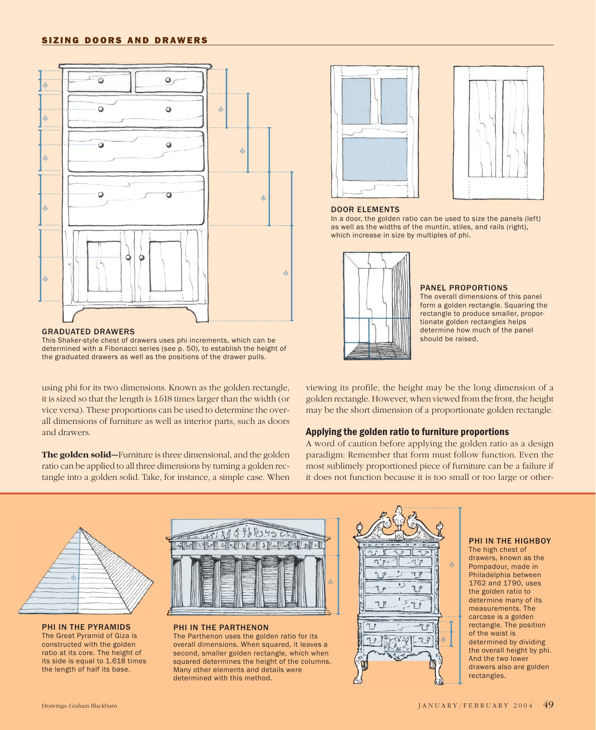#### SIZING DOORS AND DRAWERS



GRADUATED DRAWERS

This Shaker-style chest of drawers uses phi increments, which can be determined with a Fibonacci series (see p. 50), to establish the height of the graduated drawers as well as the positions of the drawer pulls.

using phi for its two dimensions. Known as the golden rectangle, it is sized so that the length is 1.618 times larger than the width (or vice versa). These proportions can be used to determine the overall dimensions of furniture as well as interior parts, such as doors and drawers.

The golden solid—Furniture is three dimensional, and the golden ratio can be applied to all three dimensions by turning a golden rectangle into a golden solid. Take, for instance, a simple case. When





#### DOOR ELEMENTS

In a door, the golden ratio can be used to size the panels (left) as well as the widths of the muntin, stiles, and rails (right), which increase in size by multiples of phi.



#### PANEL PROPORTIONS

The overall dimensions of this panel form a golden rectangle. Squaring the rectangle to produce smaller, proportionate golden rectangles helps determine how much of the panel should be raised.

viewing its profile, the height may be the long dimension of a golden rectangle. However, when viewed from the front, the height may be the short dimension of a proportionate golden rectangle.

#### Applying the golden ratio to furniture proportions

A word of caution before applying the golden ratio as a design paradigm: Remember that form must follow function. Even the most sublimely proportioned piece of furniture can be a failure if it does not function because it is too small or too large or other-



PHI IN THE PYRAMIDS The Great Pyramid of Giza is constructed with the golden ratio at its core. The height of its side is equal to 1.618 times the length of half its base.



PHI IN THE PARTHENON The Parthenon uses the golden ratio for its overall dimensions. When squared, it leaves a second, smaller golden rectangle, which when squared determines the height of the columns. Many other elements and details were determined with this method.



#### PHI IN THE HIGHBOY

The high chest of drawers, known as the Pompadour, made in Philadelphia between 1762 and 1790, uses the golden ratio to determine many of its measurements. The carcase is a golden rectangle. The position of the waist is determined by dividing the overall height by phi. And the two lower drawers also are golden rectangles.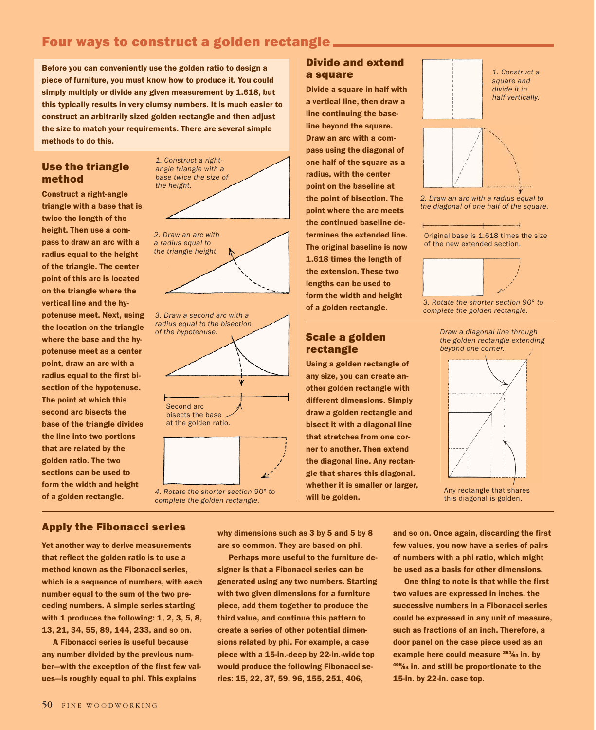### Four ways to construct a golden rectangle

Before you can conveniently use the golden ratio to design a piece of furniture, you must know how to produce it. You could simply multiply or divide any given measurement by 1.618, but this typically results in very clumsy numbers. It is much easier to construct an arbitrarily sized golden rectangle and then adjust the size to match your requirements. There are several simple methods to do this.

#### Use the triangle method

Construct a right-angle triangle with a base that is twice the length of the height. Then use a compass to draw an arc with a radius equal to the height of the triangle. The center point of this arc is located on the triangle where the vertical line and the hypotenuse meet. Next, using the location on the triangle where the base and the hypotenuse meet as a center point, draw an arc with a radius equal to the first bisection of the hypotenuse. The point at which this second arc bisects the base of the triangle divides the line into two portions that are related by the golden ratio. The two sections can be used to form the width and height of a golden rectangle.



#### Divide and extend a square

Divide a square in half with a vertical line, then draw a line continuing the baseline beyond the square. Draw an arc with a compass using the diagonal of one half of the square as a radius, with the center point on the baseline at the point of bisection. The point where the arc meets the continued baseline determines the extended line. The original baseline is now 1.618 times the length of the extension. These two lengths can be used to form the width and height of a golden rectangle.

#### Scale a golden rectangle

Using a golden rectangle of any size, you can create another golden rectangle with different dimensions. Simply draw a golden rectangle and bisect it with a diagonal line that stretches from one corner to another. Then extend the diagonal line. Any rectangle that shares this diagonal, whether it is smaller or larger, will be golden.





*2. Draw an arc with a radius equal to the diagonal of one half of the square.*

 $\perp$ Original base is 1.618 times the size of the new extended section.



*3. Rotate the shorter section 90° to complete the golden rectangle.*





this diagonal is golden.

#### Apply the Fibonacci series

Yet another way to derive measurements that reflect the golden ratio is to use a method known as the Fibonacci series, which is a sequence of numbers, with each number equal to the sum of the two preceding numbers. A simple series starting with 1 produces the following: 1, 2, 3, 5, 8, 13, 21, 34, 55, 89, 144, 233, and so on.

A Fibonacci series is useful because any number divided by the previous number—with the exception of the first few values—is roughly equal to phi. This explains

why dimensions such as 3 by 5 and 5 by 8 are so common. They are based on phi.

Perhaps more useful to the furniture designer is that a Fibonacci series can be generated using any two numbers. Starting with two given dimensions for a furniture piece, add them together to produce the third value, and continue this pattern to create a series of other potential dimensions related by phi. For example, a case piece with a 15-in.-deep by 22-in.-wide top would produce the following Fibonacci series: 15, 22, 37, 59, 96, 155, 251, 406,

and so on. Once again, discarding the first few values, you now have a series of pairs of numbers with a phi ratio, which might be used as a basis for other dimensions.

One thing to note is that while the first two values are expressed in inches, the successive numbers in a Fibonacci series could be expressed in any unit of measure, such as fractions of an inch. Therefore, a door panel on the case piece used as an example here could measure <sup>251</sup>⁄64 in. by <sup>406</sup>⁄<sup>64</sup> in. and still be proportionate to the 15-in. by 22-in. case top.